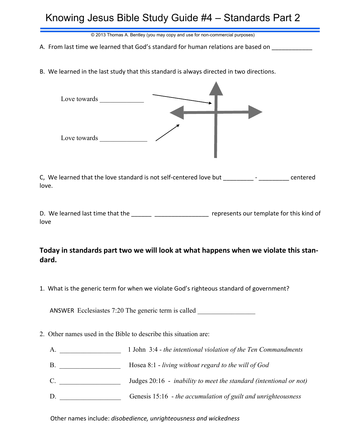## Knowing Jesus Bible Study Guide #4 – Standards Part 2

© 2013 Thomas A. Bentley (you may copy and use for non-commercial purposes)

A. From last time we learned that God's standard for human relations are based on

B. We learned in the last study that this standard is always directed in two directions.



C, We learned that the love standard is not self-centered love but \_\_\_\_\_\_\_\_\_ - \_\_\_\_\_\_\_\_\_ centered love.

D. We learned last time that the \_\_\_\_\_\_\_ \_\_\_\_\_\_\_\_\_\_\_\_\_\_\_\_\_\_\_ represents our template for this kind of love

## **Today in standards part two we will look at what happens when we violate this standard.**

1. What is the generic term for when we violate God's righteous standard of government?

ANSWER Ecclesiastes 7:20 The generic term is called

2. Other names used in the Bible to describe this situation are:

|  |  | 1 John 3:4 - the intentional violation of the Ten Commandments |  |  |  |
|--|--|----------------------------------------------------------------|--|--|--|
|  |  |                                                                |  |  |  |

- B. \_\_\_\_\_\_\_\_\_\_\_\_\_\_\_\_\_\_ Hosea 8:1 *living without regard to the will of God*
- C. \_\_\_\_\_\_\_\_\_\_\_\_\_\_\_\_\_\_ Judges 20:16 *inability to meet the standard (intentional or not)*
- D. \_\_\_\_\_\_\_\_\_\_\_\_\_\_\_\_\_\_ Genesis 15:16 *the accumulation of guilt and unrighteousness*

Other names include: *disobedience, unrighteousness and wickedness*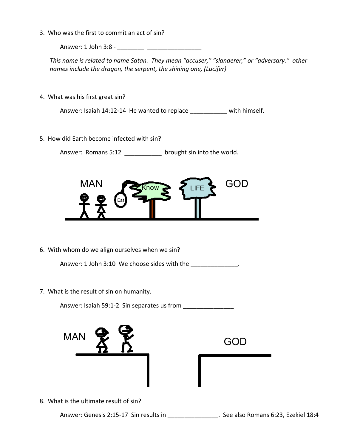3. Who was the first to commit an act of sin?

Answer: 1 John 3:8 - \_\_\_\_\_\_\_\_ \_\_\_\_\_\_\_\_\_\_\_\_\_\_\_\_

*This name is related to name Satan. They mean "accuser," "slanderer," or "adversary." other names include the dragon, the serpent, the shining one, (Lucifer)*

4. What was his first great sin?

Answer: Isaiah 14:12-14 He wanted to replace \_\_\_\_\_\_\_\_\_\_ with himself.

5. How did Earth become infected with sin?

Answer: Romans 5:12 brought sin into the world.



6. With whom do we align ourselves when we sin?

Answer: 1 John 3:10 We choose sides with the \_\_\_\_\_\_\_\_\_\_\_\_\_\_\_.

7. What is the result of sin on humanity.

Answer: Isaiah 59:1-2 Sin separates us from \_\_\_\_\_\_\_\_\_\_\_\_\_\_\_

| <b>MAN</b> | ę,<br>⇔ |  | <b>GOD</b> |
|------------|---------|--|------------|
|            |         |  |            |

8. What is the ultimate result of sin?

Answer: Genesis 2:15-17 Sin results in \_\_\_\_\_\_\_\_\_\_\_\_\_\_\_\_\_\_. See also Romans 6:23, Ezekiel 18:4